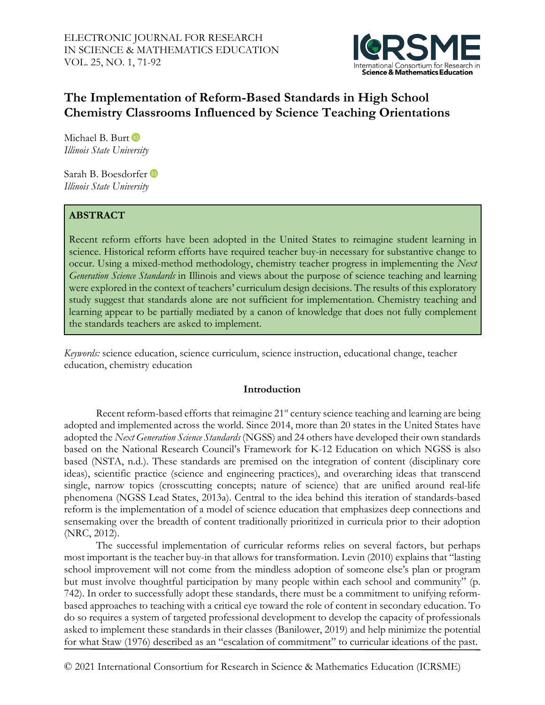

# **The Implementation of Reform-Based Standards in High School Chemistry Classrooms Influenced by Science Teaching Orientations**

MichaelB. Burt *Illinois State University*

Sarah B. Boesdorfer *Illinois State University*

# **ABSTRACT**

Recent reform efforts have been adopted in the United States to reimagine student learning in science. Historical reform efforts have required teacher buy-in necessary for substantive change to occur. Using a mixed-method methodology, chemistry teacher progress in implementing the *Next Generation Science Standards* in Illinois and views about the purpose of science teaching and learning were explored in the context of teachers' curriculum design decisions. The results of this exploratory study suggest that standards alone are not sufficient for implementation. Chemistry teaching and learning appear to be partially mediated by a canon of knowledge that does not fully complement the standards teachers are asked to implement.

*Keywords:* science education, science curriculum, science instruction, educational change, teacher education, chemistry education

#### **Introduction**

Recent reform-based efforts that reimagine 21<sup>st</sup> century science teaching and learning are being adopted and implemented across the world. Since 2014, more than 20 states in the United States have adopted the *Next Generation Science Standards* (NGSS) and 24 others have developed their own standards based on the National Research Council's Framework for K-12 Education on which NGSS is also based (NSTA, n.d.). These standards are premised on the integration of content (disciplinary core ideas), scientific practice (science and engineering practices), and overarching ideas that transcend single, narrow topics (crosscutting concepts; nature of science) that are unified around real-life phenomena (NGSS Lead States, 2013a). Central to the idea behind this iteration of standards-based reform is the implementation of a model of science education that emphasizes deep connections and sensemaking over the breadth of content traditionally prioritized in curricula prior to their adoption (NRC, 2012).

The successful implementation of curricular reforms relies on several factors, but perhaps most important is the teacher buy-in that allows for transformation. Levin (2010) explains that "lasting school improvement will not come from the mindless adoption of someone else's plan or program but must involve thoughtful participation by many people within each school and community" (p. 742). In order to successfully adopt these standards, there must be a commitment to unifying reformbased approaches to teaching with a critical eye toward the role of content in secondary education. To do so requires a system of targeted professional development to develop the capacity of professionals asked to implement these standards in their classes (Banilower, 2019) and help minimize the potential for what Staw (1976) described as an "escalation of commitment" to curricular ideations of the past.

© 2021 International Consortium for Research in Science & Mathematics Education (ICRSME)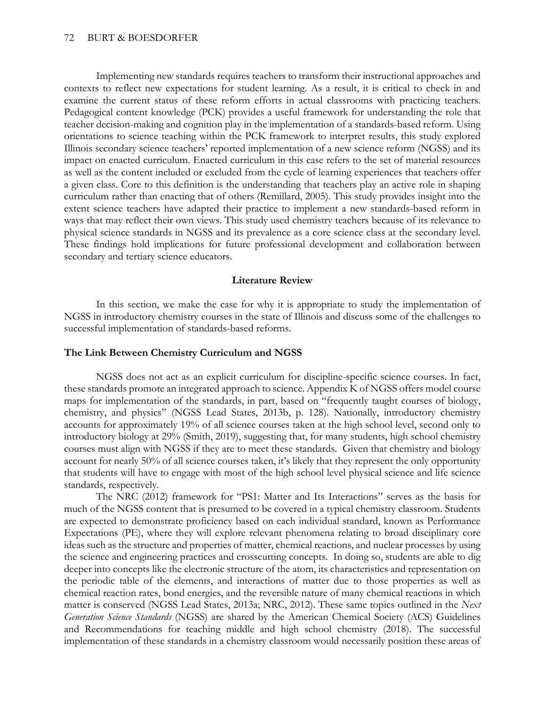Implementing new standards requires teachers to transform their instructional approaches and contexts to reflect new expectations for student learning. As a result, it is critical to check in and examine the current status of these reform efforts in actual classrooms with practicing teachers. Pedagogical content knowledge (PCK) provides a useful framework for understanding the role that teacher decision-making and cognition play in the implementation of a standards-based reform. Using orientations to science teaching within the PCK framework to interpret results, this study explored Illinois secondary science teachers' reported implementation of a new science reform (NGSS) and its impact on enacted curriculum. Enacted curriculum in this case refers to the set of material resources as well as the content included or excluded from the cycle of learning experiences that teachers offer a given class. Core to this definition is the understanding that teachers play an active role in shaping curriculum rather than enacting that of others (Remillard, 2005). This study provides insight into the extent science teachers have adapted their practice to implement a new standards-based reform in ways that may reflect their own views. This study used chemistry teachers because of its relevance to physical science standards in NGSS and its prevalence as a core science class at the secondary level. These findings hold implications for future professional development and collaboration between secondary and tertiary science educators.

#### **Literature Review**

In this section, we make the case for why it is appropriate to study the implementation of NGSS in introductory chemistry courses in the state of Illinois and discuss some of the challenges to successful implementation of standards-based reforms.

#### **The Link Between Chemistry Curriculum and NGSS**

NGSS does not act as an explicit curriculum for discipline-specific science courses. In fact, these standards promote an integrated approach to science. Appendix K of NGSS offers model course maps for implementation of the standards, in part, based on "frequently taught courses of biology, chemistry, and physics" (NGSS Lead States, 2013b, p. 128). Nationally, introductory chemistry accounts for approximately 19% of all science courses taken at the high school level, second only to introductory biology at 29% (Smith, 2019), suggesting that, for many students, high school chemistry courses must align with NGSS if they are to meet these standards. Given that chemistry and biology account for nearly 50% of all science courses taken, it's likely that they represent the only opportunity that students will have to engage with most of the high school level physical science and life science standards, respectively.

The NRC (2012) framework for "PS1: Matter and Its Interactions" serves as the basis for much of the NGSS content that is presumed to be covered in a typical chemistry classroom. Students are expected to demonstrate proficiency based on each individual standard, known as Performance Expectations (PE), where they will explore relevant phenomena relating to broad disciplinary core ideas such as the structure and properties of matter, chemical reactions, and nuclear processes by using the science and engineering practices and crosscutting concepts. In doing so, students are able to dig deeper into concepts like the electronic structure of the atom, its characteristics and representation on the periodic table of the elements, and interactions of matter due to those properties as well as chemical reaction rates, bond energies, and the reversible nature of many chemical reactions in which matter is conserved (NGSS Lead States, 2013a; NRC, 2012). These same topics outlined in the *Next Generation Science Standards* (NGSS) are shared by the American Chemical Society (ACS) Guidelines and Recommendations for teaching middle and high school chemistry (2018). The successful implementation of these standards in a chemistry classroom would necessarily position these areas of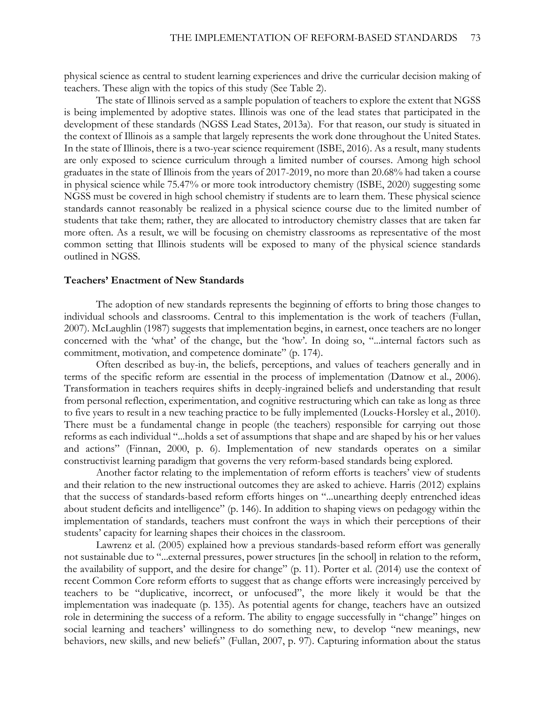physical science as central to student learning experiences and drive the curricular decision making of teachers. These align with the topics of this study (See Table 2).

The state of Illinois served as a sample population of teachers to explore the extent that NGSS is being implemented by adoptive states. Illinois was one of the lead states that participated in the development of these standards (NGSS Lead States, 2013a). For that reason, our study is situated in the context of Illinois as a sample that largely represents the work done throughout the United States. In the state of Illinois, there is a two-year science requirement (ISBE, 2016). As a result, many students are only exposed to science curriculum through a limited number of courses. Among high school graduates in the state of Illinois from the years of 2017-2019, no more than 20.68% had taken a course in physical science while 75.47% or more took introductory chemistry (ISBE, 2020) suggesting some NGSS must be covered in high school chemistry if students are to learn them. These physical science standards cannot reasonably be realized in a physical science course due to the limited number of students that take them; rather, they are allocated to introductory chemistry classes that are taken far more often. As a result, we will be focusing on chemistry classrooms as representative of the most common setting that Illinois students will be exposed to many of the physical science standards outlined in NGSS.

#### **Teachers' Enactment of New Standards**

The adoption of new standards represents the beginning of efforts to bring those changes to individual schools and classrooms. Central to this implementation is the work of teachers (Fullan, 2007). McLaughlin (1987) suggests that implementation begins, in earnest, once teachers are no longer concerned with the 'what' of the change, but the 'how'. In doing so, "...internal factors such as commitment, motivation, and competence dominate" (p. 174).

Often described as buy-in, the beliefs, perceptions, and values of teachers generally and in terms of the specific reform are essential in the process of implementation (Datnow et al., 2006). Transformation in teachers requires shifts in deeply-ingrained beliefs and understanding that result from personal reflection, experimentation, and cognitive restructuring which can take as long as three to five years to result in a new teaching practice to be fully implemented (Loucks-Horsley et al., 2010). There must be a fundamental change in people (the teachers) responsible for carrying out those reforms as each individual "...holds a set of assumptions that shape and are shaped by his or her values and actions" (Finnan, 2000, p. 6). Implementation of new standards operates on a similar constructivist learning paradigm that governs the very reform-based standards being explored.

Another factor relating to the implementation of reform efforts is teachers' view of students and their relation to the new instructional outcomes they are asked to achieve. Harris (2012) explains that the success of standards-based reform efforts hinges on "...unearthing deeply entrenched ideas about student deficits and intelligence" (p. 146). In addition to shaping views on pedagogy within the implementation of standards, teachers must confront the ways in which their perceptions of their students' capacity for learning shapes their choices in the classroom.

Lawrenz et al. (2005) explained how a previous standards-based reform effort was generally not sustainable due to "...external pressures, power structures [in the school] in relation to the reform, the availability of support, and the desire for change" (p. 11). Porter et al. (2014) use the context of recent Common Core reform efforts to suggest that as change efforts were increasingly perceived by teachers to be "duplicative, incorrect, or unfocused", the more likely it would be that the implementation was inadequate (p. 135). As potential agents for change, teachers have an outsized role in determining the success of a reform. The ability to engage successfully in "change" hinges on social learning and teachers' willingness to do something new, to develop "new meanings, new behaviors, new skills, and new beliefs" (Fullan, 2007, p. 97). Capturing information about the status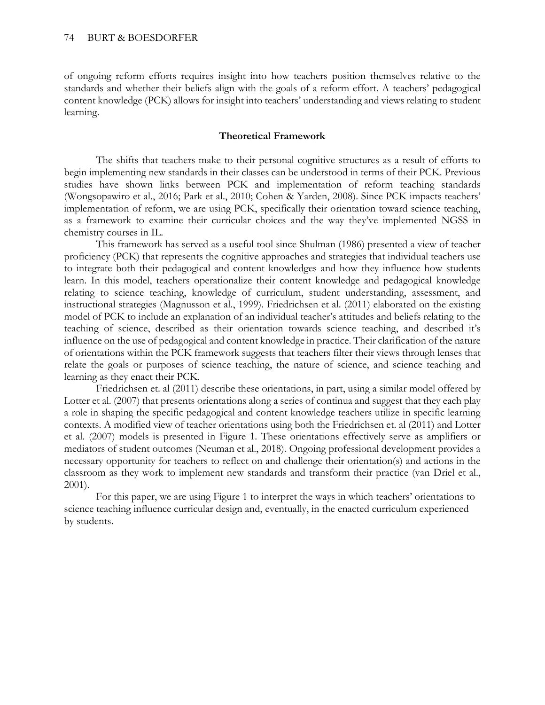of ongoing reform efforts requires insight into how teachers position themselves relative to the standards and whether their beliefs align with the goals of a reform effort. A teachers' pedagogical content knowledge (PCK) allows for insight into teachers' understanding and views relating to student learning.

### **Theoretical Framework**

The shifts that teachers make to their personal cognitive structures as a result of efforts to begin implementing new standards in their classes can be understood in terms of their PCK. Previous studies have shown links between PCK and implementation of reform teaching standards (Wongsopawiro et al., 2016; Park et al., 2010; Cohen & Yarden, 2008). Since PCK impacts teachers' implementation of reform, we are using PCK, specifically their orientation toward science teaching, as a framework to examine their curricular choices and the way they've implemented NGSS in chemistry courses in IL.

This framework has served as a useful tool since Shulman (1986) presented a view of teacher proficiency (PCK) that represents the cognitive approaches and strategies that individual teachers use to integrate both their pedagogical and content knowledges and how they influence how students learn. In this model, teachers operationalize their content knowledge and pedagogical knowledge relating to science teaching, knowledge of curriculum, student understanding, assessment, and instructional strategies (Magnusson et al., 1999). Friedrichsen et al. (2011) elaborated on the existing model of PCK to include an explanation of an individual teacher's attitudes and beliefs relating to the teaching of science, described as their orientation towards science teaching, and described it's influence on the use of pedagogical and content knowledge in practice. Their clarification of the nature of orientations within the PCK framework suggests that teachers filter their views through lenses that relate the goals or purposes of science teaching, the nature of science, and science teaching and learning as they enact their PCK.

Friedrichsen et. al (2011) describe these orientations, in part, using a similar model offered by Lotter et al. (2007) that presents orientations along a series of continua and suggest that they each play a role in shaping the specific pedagogical and content knowledge teachers utilize in specific learning contexts. A modified view of teacher orientations using both the Friedrichsen et. al (2011) and Lotter et al. (2007) models is presented in Figure 1. These orientations effectively serve as amplifiers or mediators of student outcomes (Neuman et al., 2018). Ongoing professional development provides a necessary opportunity for teachers to reflect on and challenge their orientation(s) and actions in the classroom as they work to implement new standards and transform their practice (van Driel et al., 2001).

For this paper, we are using Figure 1 to interpret the ways in which teachers' orientations to science teaching influence curricular design and, eventually, in the enacted curriculum experienced by students.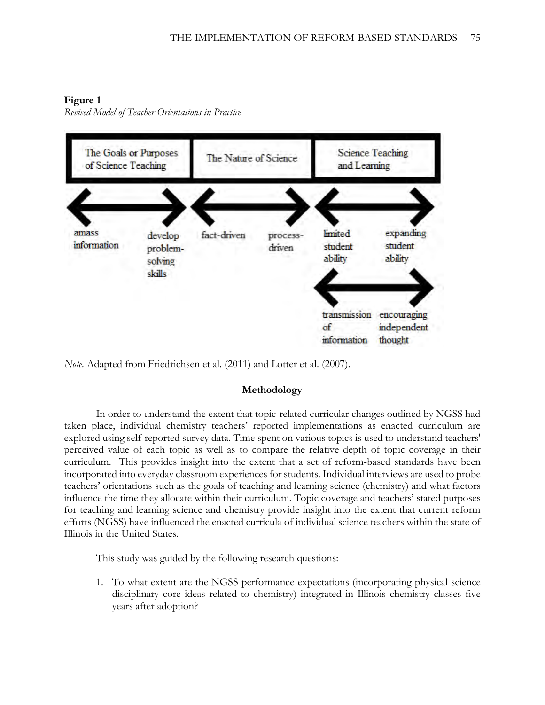### **Figure 1**

*Revised Model of Teacher Orientations in Practice*



*Note.* Adapted from Friedrichsen et al. (2011) and Lotter et al. (2007).

### **Methodology**

In order to understand the extent that topic-related curricular changes outlined by NGSS had taken place, individual chemistry teachers' reported implementations as enacted curriculum are explored using self-reported survey data. Time spent on various topics is used to understand teachers' perceived value of each topic as well as to compare the relative depth of topic coverage in their curriculum. This provides insight into the extent that a set of reform-based standards have been incorporated into everyday classroom experiences for students. Individual interviews are used to probe teachers' orientations such as the goals of teaching and learning science (chemistry) and what factors influence the time they allocate within their curriculum. Topic coverage and teachers' stated purposes for teaching and learning science and chemistry provide insight into the extent that current reform efforts (NGSS) have influenced the enacted curricula of individual science teachers within the state of Illinois in the United States.

This study was guided by the following research questions:

1. To what extent are the NGSS performance expectations (incorporating physical science disciplinary core ideas related to chemistry) integrated in Illinois chemistry classes five years after adoption?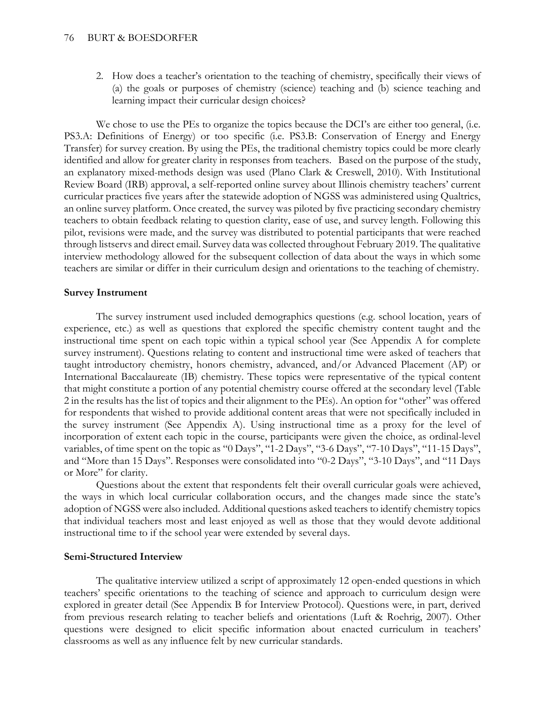2. How does a teacher's orientation to the teaching of chemistry, specifically their views of (a) the goals or purposes of chemistry (science) teaching and (b) science teaching and learning impact their curricular design choices?

We chose to use the PEs to organize the topics because the DCI's are either too general, (i.e. PS3.A: Definitions of Energy) or too specific (i.e. PS3.B: Conservation of Energy and Energy Transfer) for survey creation. By using the PEs, the traditional chemistry topics could be more clearly identified and allow for greater clarity in responses from teachers. Based on the purpose of the study, an explanatory mixed-methods design was used (Plano Clark & Creswell, 2010). With Institutional Review Board (IRB) approval, a self-reported online survey about Illinois chemistry teachers' current curricular practices five years after the statewide adoption of NGSS was administered using Qualtrics, an online survey platform. Once created, the survey was piloted by five practicing secondary chemistry teachers to obtain feedback relating to question clarity, ease of use, and survey length. Following this pilot, revisions were made, and the survey was distributed to potential participants that were reached through listservs and direct email. Survey data was collected throughout February 2019. The qualitative interview methodology allowed for the subsequent collection of data about the ways in which some teachers are similar or differ in their curriculum design and orientations to the teaching of chemistry.

#### **Survey Instrument**

The survey instrument used included demographics questions (e.g. school location, years of experience, etc.) as well as questions that explored the specific chemistry content taught and the instructional time spent on each topic within a typical school year (See Appendix A for complete survey instrument). Questions relating to content and instructional time were asked of teachers that taught introductory chemistry, honors chemistry, advanced, and/or Advanced Placement (AP) or International Baccalaureate (IB) chemistry. These topics were representative of the typical content that might constitute a portion of any potential chemistry course offered at the secondary level (Table 2 in the results has the list of topics and their alignment to the PEs). An option for "other" was offered for respondents that wished to provide additional content areas that were not specifically included in the survey instrument (See Appendix A). Using instructional time as a proxy for the level of incorporation of extent each topic in the course, participants were given the choice, as ordinal-level variables, of time spent on the topic as "0 Days", "1-2 Days", "3-6 Days", "7-10 Days", "11-15 Days", and "More than 15 Days". Responses were consolidated into "0-2 Days", "3-10 Days", and "11 Days or More" for clarity.

Questions about the extent that respondents felt their overall curricular goals were achieved, the ways in which local curricular collaboration occurs, and the changes made since the state's adoption of NGSS were also included. Additional questions asked teachers to identify chemistry topics that individual teachers most and least enjoyed as well as those that they would devote additional instructional time to if the school year were extended by several days.

#### **Semi-Structured Interview**

The qualitative interview utilized a script of approximately 12 open-ended questions in which teachers' specific orientations to the teaching of science and approach to curriculum design were explored in greater detail (See Appendix B for Interview Protocol). Questions were, in part, derived from previous research relating to teacher beliefs and orientations (Luft & Roehrig, 2007). Other questions were designed to elicit specific information about enacted curriculum in teachers' classrooms as well as any influence felt by new curricular standards.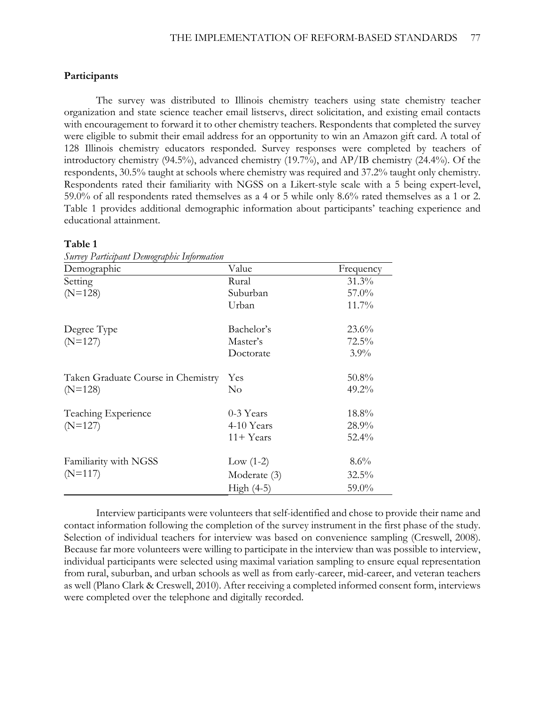#### **Participants**

The survey was distributed to Illinois chemistry teachers using state chemistry teacher organization and state science teacher email listservs, direct solicitation, and existing email contacts with encouragement to forward it to other chemistry teachers. Respondents that completed the survey were eligible to submit their email address for an opportunity to win an Amazon gift card. A total of 128 Illinois chemistry educators responded. Survey responses were completed by teachers of introductory chemistry (94.5%), advanced chemistry (19.7%), and AP/IB chemistry (24.4%). Of the respondents, 30.5% taught at schools where chemistry was required and 37.2% taught only chemistry. Respondents rated their familiarity with NGSS on a Likert-style scale with a 5 being expert-level, 59.0% of all respondents rated themselves as a 4 or 5 while only 8.6% rated themselves as a 1 or 2. Table 1 provides additional demographic information about participants' teaching experience and educational attainment.

#### **Table 1**

| Demographic                        | Value        | Frequency |
|------------------------------------|--------------|-----------|
| Setting                            | Rural        | $31.3\%$  |
| $(N=128)$                          | Suburban     | $57.0\%$  |
|                                    | Urban        | $11.7\%$  |
| Degree Type                        | Bachelor's   | $23.6\%$  |
| $(N=127)$                          | Master's     | 72.5%     |
|                                    | Doctorate    | $3.9\%$   |
| Taken Graduate Course in Chemistry | Yes          | $50.8\%$  |
| $(N=128)$                          | $\rm No$     | 49.2%     |
| Teaching Experience                | 0-3 Years    | 18.8%     |
| $(N=127)$                          | 4-10 Years   | $28.9\%$  |
|                                    | $11 +$ Years | $52.4\%$  |
| Familiarity with NGSS              | Low $(1-2)$  | 8.6%      |
| $(N=117)$                          | Moderate (3) | $32.5\%$  |
|                                    | $High (4-5)$ | 59.0%     |

*Survey Participant Demographic Information*

Interview participants were volunteers that self-identified and chose to provide their name and contact information following the completion of the survey instrument in the first phase of the study. Selection of individual teachers for interview was based on convenience sampling (Creswell, 2008). Because far more volunteers were willing to participate in the interview than was possible to interview, individual participants were selected using maximal variation sampling to ensure equal representation from rural, suburban, and urban schools as well as from early-career, mid-career, and veteran teachers as well (Plano Clark & Creswell, 2010). After receiving a completed informed consent form, interviews were completed over the telephone and digitally recorded.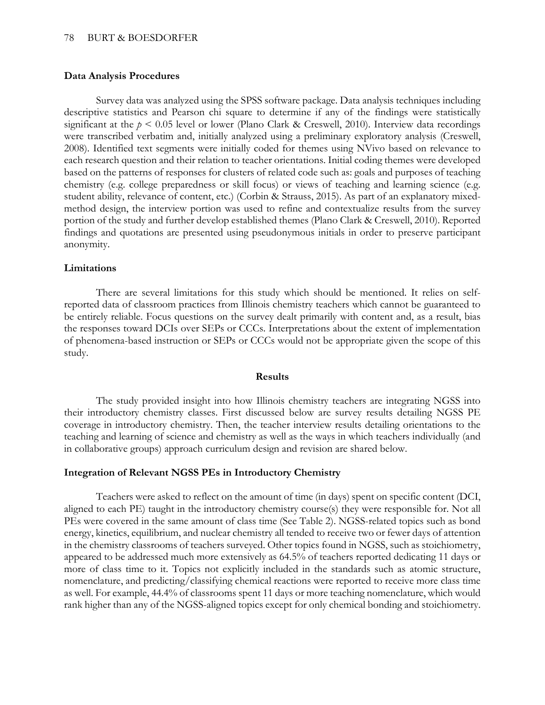#### **Data Analysis Procedures**

Survey data was analyzed using the SPSS software package. Data analysis techniques including descriptive statistics and Pearson chi square to determine if any of the findings were statistically significant at the *p* < 0.05 level or lower (Plano Clark & Creswell, 2010). Interview data recordings were transcribed verbatim and, initially analyzed using a preliminary exploratory analysis (Creswell, 2008). Identified text segments were initially coded for themes using NVivo based on relevance to each research question and their relation to teacher orientations. Initial coding themes were developed based on the patterns of responses for clusters of related code such as: goals and purposes of teaching chemistry (e.g. college preparedness or skill focus) or views of teaching and learning science (e.g. student ability, relevance of content, etc.) (Corbin & Strauss, 2015). As part of an explanatory mixedmethod design, the interview portion was used to refine and contextualize results from the survey portion of the study and further develop established themes (Plano Clark & Creswell, 2010). Reported findings and quotations are presented using pseudonymous initials in order to preserve participant anonymity.

#### **Limitations**

There are several limitations for this study which should be mentioned. It relies on selfreported data of classroom practices from Illinois chemistry teachers which cannot be guaranteed to be entirely reliable. Focus questions on the survey dealt primarily with content and, as a result, bias the responses toward DCIs over SEPs or CCCs. Interpretations about the extent of implementation of phenomena-based instruction or SEPs or CCCs would not be appropriate given the scope of this study.

#### **Results**

The study provided insight into how Illinois chemistry teachers are integrating NGSS into their introductory chemistry classes. First discussed below are survey results detailing NGSS PE coverage in introductory chemistry. Then, the teacher interview results detailing orientations to the teaching and learning of science and chemistry as well as the ways in which teachers individually (and in collaborative groups) approach curriculum design and revision are shared below.

#### **Integration of Relevant NGSS PEs in Introductory Chemistry**

Teachers were asked to reflect on the amount of time (in days) spent on specific content (DCI, aligned to each PE) taught in the introductory chemistry course(s) they were responsible for. Not all PEs were covered in the same amount of class time (See Table 2). NGSS-related topics such as bond energy, kinetics, equilibrium, and nuclear chemistry all tended to receive two or fewer days of attention in the chemistry classrooms of teachers surveyed. Other topics found in NGSS, such as stoichiometry, appeared to be addressed much more extensively as 64.5% of teachers reported dedicating 11 days or more of class time to it. Topics not explicitly included in the standards such as atomic structure, nomenclature, and predicting/classifying chemical reactions were reported to receive more class time as well. For example, 44.4% of classrooms spent 11 days or more teaching nomenclature, which would rank higher than any of the NGSS-aligned topics except for only chemical bonding and stoichiometry.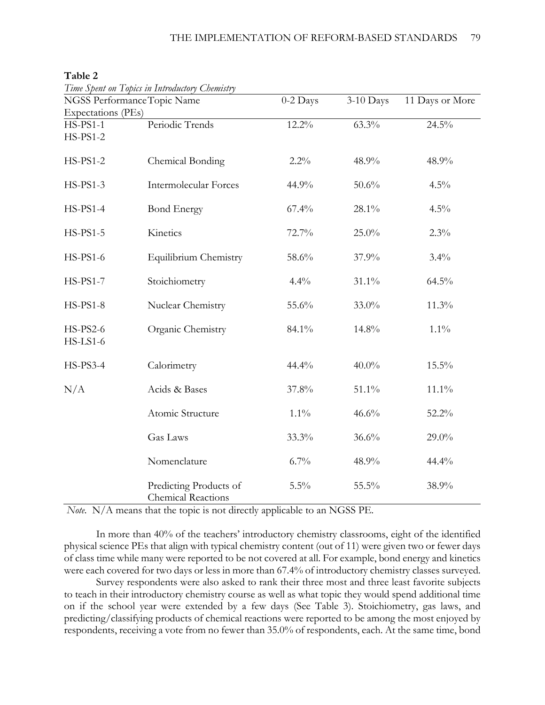|                                    | Time Spent on Topics in Introductory Chemistry      |          |             |                 |
|------------------------------------|-----------------------------------------------------|----------|-------------|-----------------|
| NGSS Performance Topic Name        |                                                     | 0-2 Days | $3-10$ Days | 11 Days or More |
| Expectations (PEs)                 |                                                     |          |             |                 |
| <b>HS-PS1-1</b><br><b>HS-PS1-2</b> | Periodic Trends                                     | $12.2\%$ | 63.3%       | 24.5%           |
| <b>HS-PS1-2</b>                    | Chemical Bonding                                    | 2.2%     | 48.9%       | 48.9%           |
| <b>HS-PS1-3</b>                    | <b>Intermolecular Forces</b>                        | 44.9%    | 50.6%       | 4.5%            |
| HS-PS1-4                           | <b>Bond Energy</b>                                  | 67.4%    | 28.1%       | 4.5%            |
| $HS-PS1-5$                         | Kinetics                                            | 72.7%    | 25.0%       | 2.3%            |
| HS-PS1-6                           | Equilibrium Chemistry                               | 58.6%    | 37.9%       | $3.4\%$         |
| <b>HS-PS1-7</b>                    | Stoichiometry                                       | 4.4%     | 31.1%       | 64.5%           |
| <b>HS-PS1-8</b>                    | Nuclear Chemistry                                   | 55.6%    | 33.0%       | 11.3%           |
| <b>HS-PS2-6</b><br>$HS$ -LS1-6     | Organic Chemistry                                   | 84.1%    | 14.8%       | $1.1\%$         |
| HS-PS3-4                           | Calorimetry                                         | 44.4%    | $40.0\%$    | 15.5%           |
| N/A                                | Acids & Bases                                       | 37.8%    | 51.1%       | $11.1\%$        |
|                                    | Atomic Structure                                    | $1.1\%$  | 46.6%       | 52.2%           |
|                                    | Gas Laws                                            | 33.3%    | 36.6%       | 29.0%           |
|                                    | Nomenclature                                        | 6.7%     | 48.9%       | 44.4%           |
|                                    | Predicting Products of<br><b>Chemical Reactions</b> | 5.5%     | 55.5%       | 38.9%           |

#### **Table 2**

*Note.* N/A means that the topic is not directly applicable to an NGSS PE.

In more than 40% of the teachers' introductory chemistry classrooms, eight of the identified physical science PEs that align with typical chemistry content (out of 11) were given two or fewer days of class time while many were reported to be not covered at all. For example, bond energy and kinetics were each covered for two days or less in more than 67.4% of introductory chemistry classes surveyed.

Survey respondents were also asked to rank their three most and three least favorite subjects to teach in their introductory chemistry course as well as what topic they would spend additional time on if the school year were extended by a few days (See Table 3). Stoichiometry, gas laws, and predicting/classifying products of chemical reactions were reported to be among the most enjoyed by respondents, receiving a vote from no fewer than 35.0% of respondents, each. At the same time, bond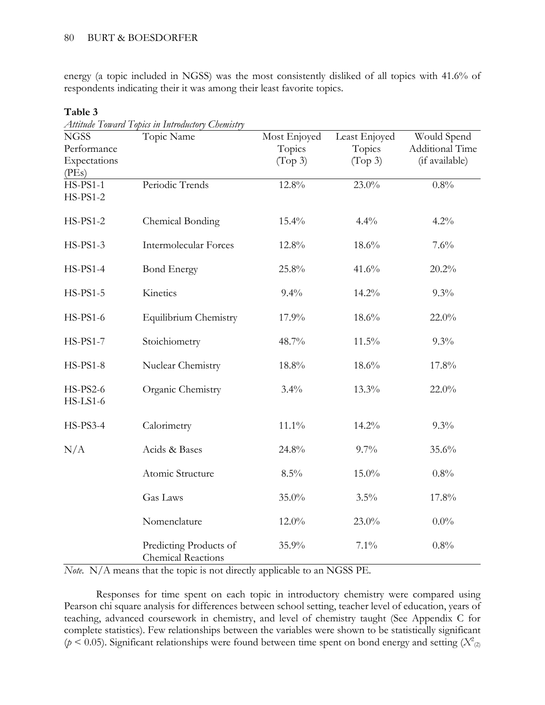energy (a topic included in NGSS) was the most consistently disliked of all topics with 41.6% of respondents indicating their it was among their least favorite topics.

| <b>NGSS</b>                        | Topic Name                                          | Most Enjoyed | Least Enjoyed | Would Spend            |
|------------------------------------|-----------------------------------------------------|--------------|---------------|------------------------|
| Performance                        |                                                     | Topics       | Topics        | <b>Additional Time</b> |
| Expectations                       |                                                     | (Top 3)      | (Top 3)       | (if available)         |
| (PEs)                              |                                                     |              |               |                        |
| <b>HS-PS1-1</b>                    | Periodic Trends                                     | 12.8%        | 23.0%         | 0.8%                   |
| <b>HS-PS1-2</b>                    |                                                     |              |               |                        |
| <b>HS-PS1-2</b>                    | Chemical Bonding                                    | $15.4\%$     | 4.4%          | 4.2%                   |
| <b>HS-PS1-3</b>                    | Intermolecular Forces                               | 12.8%        | 18.6%         | 7.6%                   |
| <b>HS-PS1-4</b>                    | <b>Bond Energy</b>                                  | 25.8%        | 41.6%         | 20.2%                  |
| <b>HS-PS1-5</b>                    | Kinetics                                            | 9.4%         | 14.2%         | 9.3%                   |
| HS-PS1-6                           | Equilibrium Chemistry                               | 17.9%        | 18.6%         | $22.0\%$               |
| <b>HS-PS1-7</b>                    | Stoichiometry                                       | 48.7%        | 11.5%         | 9.3%                   |
| <b>HS-PS1-8</b>                    | Nuclear Chemistry                                   | 18.8%        | 18.6%         | 17.8%                  |
| <b>HS-PS2-6</b><br><b>HS-LS1-6</b> | Organic Chemistry                                   | 3.4%         | 13.3%         | $22.0\%$               |
| <b>HS-PS3-4</b>                    | Calorimetry                                         | $11.1\%$     | 14.2%         | 9.3%                   |
| N/A                                | Acids & Bases                                       | 24.8%        | 9.7%          | 35.6%                  |
|                                    | Atomic Structure                                    | 8.5%         | 15.0%         | 0.8%                   |
|                                    | Gas Laws                                            | 35.0%        | 3.5%          | 17.8%                  |
|                                    | Nomenclature                                        | 12.0%        | 23.0%         | $0.0\%$                |
|                                    | Predicting Products of<br><b>Chemical Reactions</b> | 35.9%        | $7.1\%$       | 0.8%                   |

Table  $3$ 

*Attitude Toward Topics in Introductory Chemistry*

*Note.* N/A means that the topic is not directly applicable to an NGSS PE.

Responses for time spent on each topic in introductory chemistry were compared using Pearson chi square analysis for differences between school setting, teacher level of education, years of teaching, advanced coursework in chemistry, and level of chemistry taught (See Appendix C for complete statistics). Few relationships between the variables were shown to be statistically significant ( $p < 0.05$ ). Significant relationships were found between time spent on bond energy and setting ( $X^2_{(2)}$ )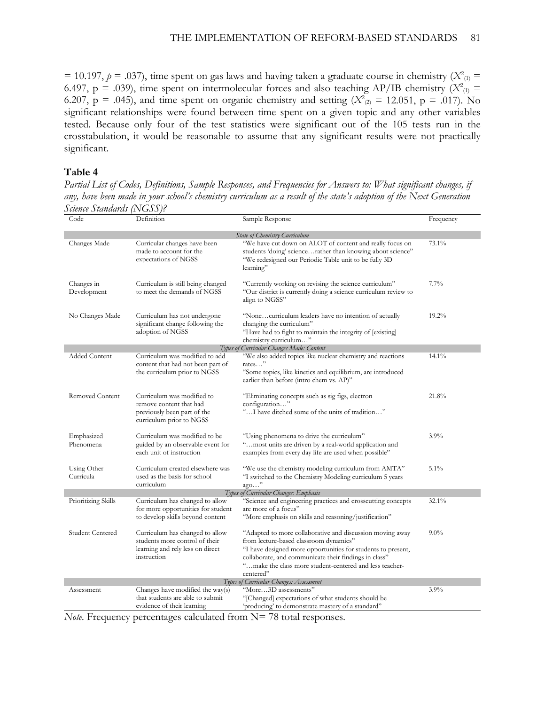$= 10.197$ ,  $p = .037$ ), time spent on gas laws and having taken a graduate course in chemistry ( $X^2_{(1)} =$ 6.497,  $p = .039$ ), time spent on intermolecular forces and also teaching AP/IB chemistry ( $X^2_{(1)}$  = 6.207,  $p = .045$ ), and time spent on organic chemistry and setting ( $X^2_{(2)} = 12.051$ ,  $p = .017$ ). No significant relationships were found between time spent on a given topic and any other variables tested. Because only four of the test statistics were significant out of the 105 tests run in the crosstabulation, it would be reasonable to assume that any significant results were not practically significant.

### **Table 4**

*Partial List of Codes, Definitions, Sample Responses, and Frequencies for Answers to: What significant changes, if any, have been made in your school's chemistry curriculum as a result of the state's adoption of the Next Generation Science Standards (NGSS)?*

| Code                      | Definition                                                                                                           | Sample Response                                                                                                                                                                                                                                                                                       | Frequency |
|---------------------------|----------------------------------------------------------------------------------------------------------------------|-------------------------------------------------------------------------------------------------------------------------------------------------------------------------------------------------------------------------------------------------------------------------------------------------------|-----------|
|                           |                                                                                                                      | <b>State of Chemistry Curriculum</b>                                                                                                                                                                                                                                                                  |           |
| Changes Made              | Curricular changes have been<br>made to account for the<br>expectations of NGSS                                      | "We have cut down on ALOT of content and really focus on<br>students 'doing' sciencerather than knowing about science"<br>"We redesigned our Periodic Table unit to be fully 3D<br>learning"                                                                                                          | 73.1%     |
| Changes in<br>Development | Curriculum is still being changed<br>to meet the demands of NGSS                                                     | "Currently working on revising the science curriculum"<br>"Our district is currently doing a science curriculum review to<br>align to NGSS"                                                                                                                                                           | 7.7%      |
| No Changes Made           | Curriculum has not undergone<br>significant change following the<br>adoption of NGSS                                 | "Nonecurriculum leaders have no intention of actually<br>changing the curriculum"<br>"Have had to fight to maintain the integrity of [existing]<br>chemistry curriculum"                                                                                                                              | $19.2\%$  |
|                           |                                                                                                                      | Types of Curricular Changes Made: Content                                                                                                                                                                                                                                                             |           |
| <b>Added Content</b>      | Curriculum was modified to add<br>content that had not been part of<br>the curriculum prior to NGSS                  | "We also added topics like nuclear chemistry and reactions<br>rates"<br>"Some topics, like kinetics and equilibrium, are introduced<br>earlier than before (intro chem vs. AP)"                                                                                                                       | 14.1%     |
| <b>Removed Content</b>    | Curriculum was modified to<br>remove content that had<br>previously been part of the<br>curriculum prior to NGSS     | "Eliminating concepts such as sig figs, electron<br>configuration"<br>"I have ditched some of the units of tradition"                                                                                                                                                                                 | 21.8%     |
| Emphasized<br>Phenomena   | Curriculum was modified to be<br>guided by an observable event for<br>each unit of instruction                       | "Using phenomena to drive the curriculum"<br>"most units are driven by a real-world application and<br>examples from every day life are used when possible"                                                                                                                                           | 3.9%      |
| Using Other<br>Curricula  | Curriculum created elsewhere was<br>used as the basis for school<br>curriculum                                       | "We use the chemistry modeling curriculum from AMTA"<br>'T switched to the Chemistry Modeling curriculum 5 years<br>$ago$ "                                                                                                                                                                           | 5.1%      |
|                           |                                                                                                                      | Types of Curricular Changes: Emphasis                                                                                                                                                                                                                                                                 |           |
| Prioritizing Skills       | Curriculum has changed to allow<br>for more opportunities for student<br>to develop skills beyond content            | "Science and engineering practices and crosscutting concepts<br>are more of a focus"<br>"More emphasis on skills and reasoning/justification"                                                                                                                                                         | 32.1%     |
| Student Centered          | Curriculum has changed to allow<br>students more control of their<br>learning and rely less on direct<br>instruction | "Adapted to more collaborative and discussion moving away<br>from lecture-based classroom dynamics"<br>"I have designed more opportunities for students to present,<br>collaborate, and communicate their findings in class"<br>" make the class more student-centered and less teacher-<br>centered" | $9.0\%$   |
|                           |                                                                                                                      | Types of Curricular Changes: Assessment                                                                                                                                                                                                                                                               |           |
| Assessment                | Changes have modified the way(s)<br>that students are able to submit<br>evidence of their learning                   | "More3D assessments"<br>"[Changed] expectations of what students should be<br>'producing' to demonstrate mastery of a standard"                                                                                                                                                                       | 3.9%      |

*Note.* Frequency percentages calculated from N= 78 total responses.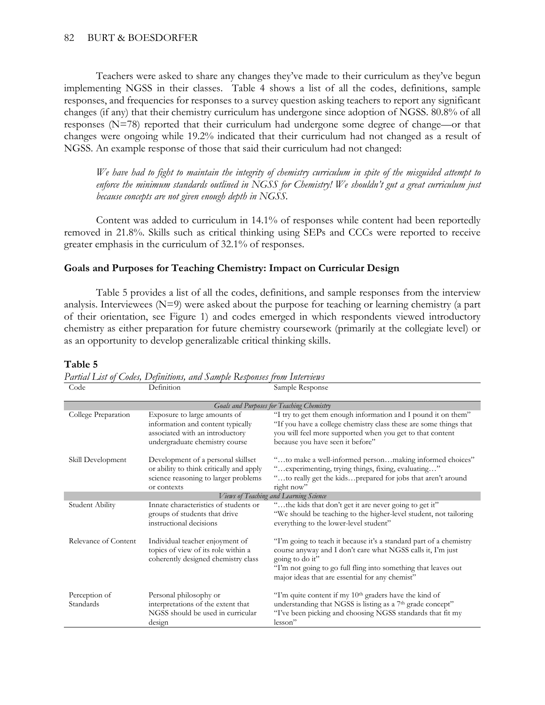Teachers were asked to share any changes they've made to their curriculum as they've begun implementing NGSS in their classes. Table 4 shows a list of all the codes, definitions, sample responses, and frequencies for responses to a survey question asking teachers to report any significant changes (if any) that their chemistry curriculum has undergone since adoption of NGSS. 80.8% of all responses (N=78) reported that their curriculum had undergone some degree of change—or that changes were ongoing while 19.2% indicated that their curriculum had not changed as a result of NGSS. An example response of those that said their curriculum had not changed:

*We have had to fight to maintain the integrity of chemistry curriculum in spite of the misguided attempt to enforce the minimum standards outlined in NGSS for Chemistry! We shouldn't gut a great curriculum just because concepts are not given enough depth in NGSS.* 

Content was added to curriculum in 14.1% of responses while content had been reportedly removed in 21.8%. Skills such as critical thinking using SEPs and CCCs were reported to receive greater emphasis in the curriculum of 32.1% of responses.

### **Goals and Purposes for Teaching Chemistry: Impact on Curricular Design**

Table 5 provides a list of all the codes, definitions, and sample responses from the interview analysis. Interviewees (N=9) were asked about the purpose for teaching or learning chemistry (a part of their orientation, see Figure 1) and codes emerged in which respondents viewed introductory chemistry as either preparation for future chemistry coursework (primarily at the collegiate level) or as an opportunity to develop generalizable critical thinking skills.

### **Table 5**

| Goals and Purposes for Teaching Chemistry |                                                                                                                                        |                                                                                                                                                                                                                                                                           |  |  |  |
|-------------------------------------------|----------------------------------------------------------------------------------------------------------------------------------------|---------------------------------------------------------------------------------------------------------------------------------------------------------------------------------------------------------------------------------------------------------------------------|--|--|--|
| College Preparation                       | Exposure to large amounts of<br>information and content typically<br>associated with an introductory<br>undergraduate chemistry course | "I try to get them enough information and I pound it on them"<br>"If you have a college chemistry class these are some things that<br>you will feel more supported when you get to that content<br>because you have seen it before"                                       |  |  |  |
| Skill Development                         | Development of a personal skillset<br>or ability to think critically and apply<br>science reasoning to larger problems<br>or contexts  | "to make a well-informed personmaking informed choices"<br>" experimenting, trying things, fixing, evaluating"<br>"to really get the kidsprepared for jobs that aren't around<br>right now"                                                                               |  |  |  |
|                                           |                                                                                                                                        | Views of Teaching and Learning Science                                                                                                                                                                                                                                    |  |  |  |
| Student Ability                           | Innate characteristics of students or<br>groups of students that drive<br>instructional decisions                                      | "the kids that don't get it are never going to get it"<br>"We should be teaching to the higher-level student, not tailoring<br>everything to the lower-level student"                                                                                                     |  |  |  |
| Relevance of Content                      | Individual teacher enjoyment of<br>topics of view of its role within a<br>coherently designed chemistry class                          | "I'm going to teach it because it's a standard part of a chemistry<br>course anyway and I don't care what NGSS calls it, I'm just<br>going to do it"<br>"I'm not going to go full fling into something that leaves out<br>major ideas that are essential for any chemist" |  |  |  |
| Perception of<br>Standards                | Personal philosophy or<br>interpretations of the extent that<br>NGSS should be used in curricular<br>design                            | "I'm quite content if my 10 <sup>th</sup> graders have the kind of<br>understanding that NGSS is listing as a 7 <sup>th</sup> grade concept"<br>"I've been picking and choosing NGSS standards that fit my<br>lesson"                                                     |  |  |  |

*Partial List of Codes, Definitions, and Sample Responses from Interviews* Code Definition Sample Response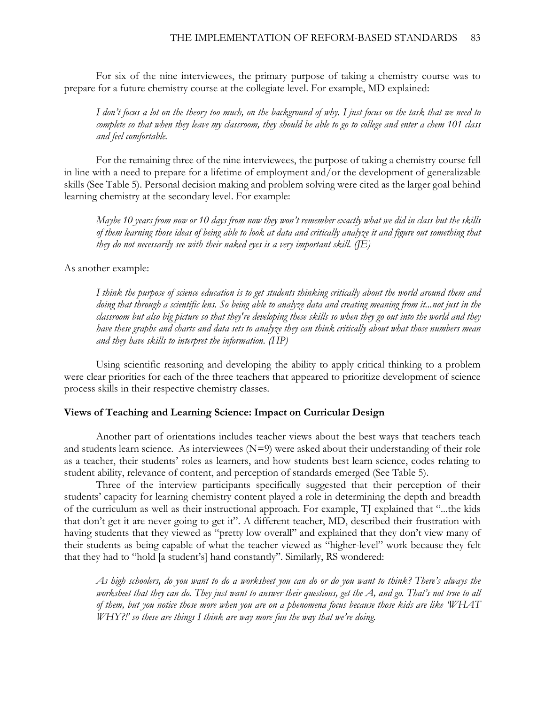For six of the nine interviewees, the primary purpose of taking a chemistry course was to prepare for a future chemistry course at the collegiate level. For example, MD explained:

*I don't focus a lot on the theory too much, on the background of why. I just focus on the task that we need to complete so that when they leave my classroom, they should be able to go to college and enter a chem 101 class and feel comfortable.*

For the remaining three of the nine interviewees, the purpose of taking a chemistry course fell in line with a need to prepare for a lifetime of employment and/or the development of generalizable skills (See Table 5). Personal decision making and problem solving were cited as the larger goal behind learning chemistry at the secondary level. For example:

*Maybe 10 years from now or 10 days from now they won't remember exactly what we did in class but the skills of them learning those ideas of being able to look at data and critically analyze it and figure out something that they do not necessarily see with their naked eyes is a very important skill. (JE)*

As another example:

*I think the purpose of science education is to get students thinking critically about the world around them and doing that through a scientific lens. So being able to analyze data and creating meaning from it...not just in the classroom but also big picture so that they're developing these skills so when they go out into the world and they have these graphs and charts and data sets to analyze they can think critically about what those numbers mean and they have skills to interpret the information. (HP)*

Using scientific reasoning and developing the ability to apply critical thinking to a problem were clear priorities for each of the three teachers that appeared to prioritize development of science process skills in their respective chemistry classes.

#### **Views of Teaching and Learning Science: Impact on Curricular Design**

Another part of orientations includes teacher views about the best ways that teachers teach and students learn science. As interviewees  $(N=9)$  were asked about their understanding of their role as a teacher, their students' roles as learners, and how students best learn science, codes relating to student ability, relevance of content, and perception of standards emerged (See Table 5).

Three of the interview participants specifically suggested that their perception of their students' capacity for learning chemistry content played a role in determining the depth and breadth of the curriculum as well as their instructional approach. For example, TJ explained that "...the kids that don't get it are never going to get it". A different teacher, MD, described their frustration with having students that they viewed as "pretty low overall" and explained that they don't view many of their students as being capable of what the teacher viewed as "higher-level" work because they felt that they had to "hold [a student's] hand constantly". Similarly, RS wondered:

*As high schoolers, do you want to do a worksheet you can do or do you want to think? There's always the worksheet that they can do. They just want to answer their questions, get the A, and go. That's not true to all of them, but you notice those more when you are on a phenomena focus because those kids are like 'WHAT WHY?!' so these are things I think are way more fun the way that we're doing.*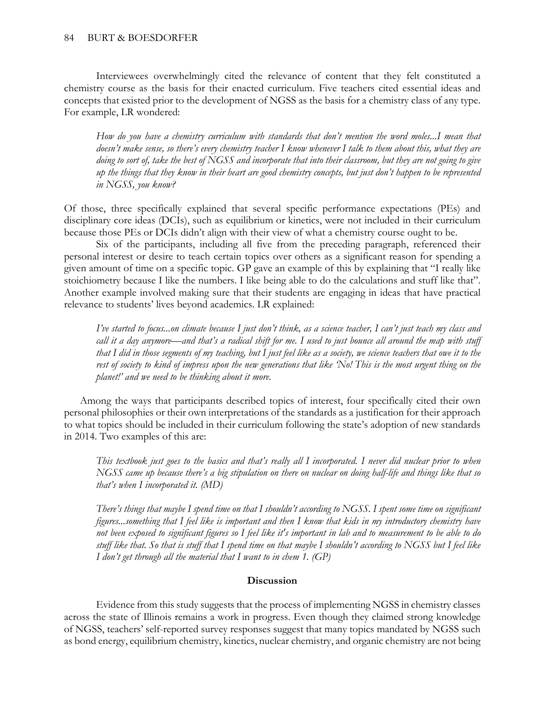Interviewees overwhelmingly cited the relevance of content that they felt constituted a chemistry course as the basis for their enacted curriculum. Five teachers cited essential ideas and concepts that existed prior to the development of NGSS as the basis for a chemistry class of any type. For example, LR wondered:

*How do you have a chemistry curriculum with standards that don't mention the word moles...I mean that doesn't make sense, so there's every chemistry teacher I know whenever I talk to them about this, what they are doing to sort of, take the best of NGSS and incorporate that into their classroom, but they are not going to give up the things that they know in their heart are good chemistry concepts, but just don't happen to be represented in NGSS, you know?*

Of those, three specifically explained that several specific performance expectations (PEs) and disciplinary core ideas (DCIs), such as equilibrium or kinetics, were not included in their curriculum because those PEs or DCIs didn't align with their view of what a chemistry course ought to be.

Six of the participants, including all five from the preceding paragraph, referenced their personal interest or desire to teach certain topics over others as a significant reason for spending a given amount of time on a specific topic. GP gave an example of this by explaining that "I really like stoichiometry because I like the numbers. I like being able to do the calculations and stuff like that". Another example involved making sure that their students are engaging in ideas that have practical relevance to students' lives beyond academics. LR explained:

*I've started to focus...on climate because I just don't think, as a science teacher, I can't just teach my class and*  call it a day anymore—and that's a radical shift for me. I used to just bounce all around the map with stuff *that I did in those segments of my teaching, but I just feel like as a society, we science teachers that owe it to the*  rest of society to kind of impress upon the new generations that like 'No! This is the most urgent thing on the *planet!' and we need to be thinking about it more.*

Among the ways that participants described topics of interest, four specifically cited their own personal philosophies or their own interpretations of the standards as a justification for their approach to what topics should be included in their curriculum following the state's adoption of new standards in 2014. Two examples of this are:

*This textbook just goes to the basics and that's really all I incorporated. I never did nuclear prior to when NGSS came up because there's a big stipulation on there on nuclear on doing half-life and things like that so that's when I incorporated it. (MD)*

*There's things that maybe I spend time on that I shouldn't according to NGSS. I spent some time on significant figures...something that I feel like is important and then I know that kids in my introductory chemistry have not been exposed to significant figures so I feel like it's important in lab and to measurement to be able to do stuff like that. So that is stuff that I spend time on that maybe I shouldn't according to NGSS but I feel like I don't get through all the material that I want to in chem 1. (GP)*

#### **Discussion**

Evidence from this study suggests that the process of implementing NGSS in chemistry classes across the state of Illinois remains a work in progress. Even though they claimed strong knowledge of NGSS, teachers' self-reported survey responses suggest that many topics mandated by NGSS such as bond energy, equilibrium chemistry, kinetics, nuclear chemistry, and organic chemistry are not being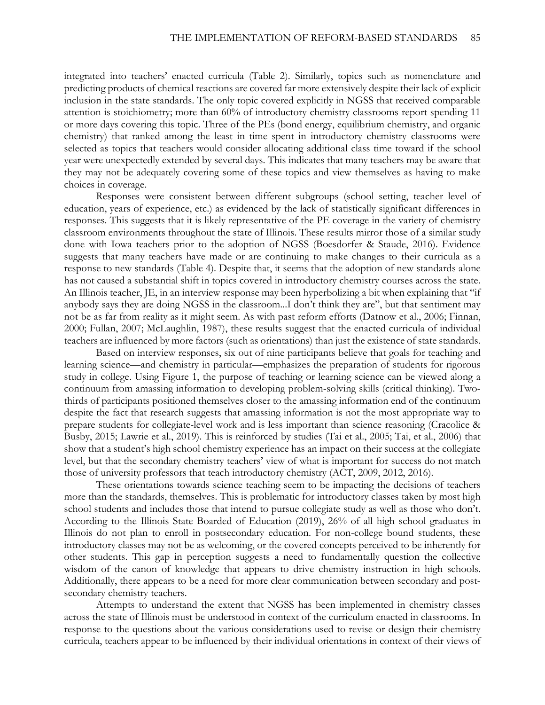integrated into teachers' enacted curricula (Table 2). Similarly, topics such as nomenclature and predicting products of chemical reactions are covered far more extensively despite their lack of explicit inclusion in the state standards. The only topic covered explicitly in NGSS that received comparable attention is stoichiometry; more than 60% of introductory chemistry classrooms report spending 11 or more days covering this topic. Three of the PEs (bond energy, equilibrium chemistry, and organic chemistry) that ranked among the least in time spent in introductory chemistry classrooms were selected as topics that teachers would consider allocating additional class time toward if the school year were unexpectedly extended by several days. This indicates that many teachers may be aware that they may not be adequately covering some of these topics and view themselves as having to make choices in coverage.

Responses were consistent between different subgroups (school setting, teacher level of education, years of experience, etc.) as evidenced by the lack of statistically significant differences in responses. This suggests that it is likely representative of the PE coverage in the variety of chemistry classroom environments throughout the state of Illinois. These results mirror those of a similar study done with Iowa teachers prior to the adoption of NGSS (Boesdorfer & Staude, 2016). Evidence suggests that many teachers have made or are continuing to make changes to their curricula as a response to new standards (Table 4). Despite that, it seems that the adoption of new standards alone has not caused a substantial shift in topics covered in introductory chemistry courses across the state. An Illinois teacher, JE, in an interview response may been hyperbolizing a bit when explaining that "if anybody says they are doing NGSS in the classroom...I don't think they are", but that sentiment may not be as far from reality as it might seem. As with past reform efforts (Datnow et al., 2006; Finnan, 2000; Fullan, 2007; McLaughlin, 1987), these results suggest that the enacted curricula of individual teachers are influenced by more factors (such as orientations) than just the existence of state standards.

Based on interview responses, six out of nine participants believe that goals for teaching and learning science—and chemistry in particular—emphasizes the preparation of students for rigorous study in college. Using Figure 1, the purpose of teaching or learning science can be viewed along a continuum from amassing information to developing problem-solving skills (critical thinking). Twothirds of participants positioned themselves closer to the amassing information end of the continuum despite the fact that research suggests that amassing information is not the most appropriate way to prepare students for collegiate-level work and is less important than science reasoning (Cracolice & Busby, 2015; Lawrie et al., 2019). This is reinforced by studies (Tai et al., 2005; Tai, et al., 2006) that show that a student's high school chemistry experience has an impact on their success at the collegiate level, but that the secondary chemistry teachers' view of what is important for success do not match those of university professors that teach introductory chemistry (ACT, 2009, 2012, 2016).

These orientations towards science teaching seem to be impacting the decisions of teachers more than the standards, themselves. This is problematic for introductory classes taken by most high school students and includes those that intend to pursue collegiate study as well as those who don't. According to the Illinois State Boarded of Education (2019), 26% of all high school graduates in Illinois do not plan to enroll in postsecondary education. For non-college bound students, these introductory classes may not be as welcoming, or the covered concepts perceived to be inherently for other students. This gap in perception suggests a need to fundamentally question the collective wisdom of the canon of knowledge that appears to drive chemistry instruction in high schools. Additionally, there appears to be a need for more clear communication between secondary and postsecondary chemistry teachers.

Attempts to understand the extent that NGSS has been implemented in chemistry classes across the state of Illinois must be understood in context of the curriculum enacted in classrooms. In response to the questions about the various considerations used to revise or design their chemistry curricula, teachers appear to be influenced by their individual orientations in context of their views of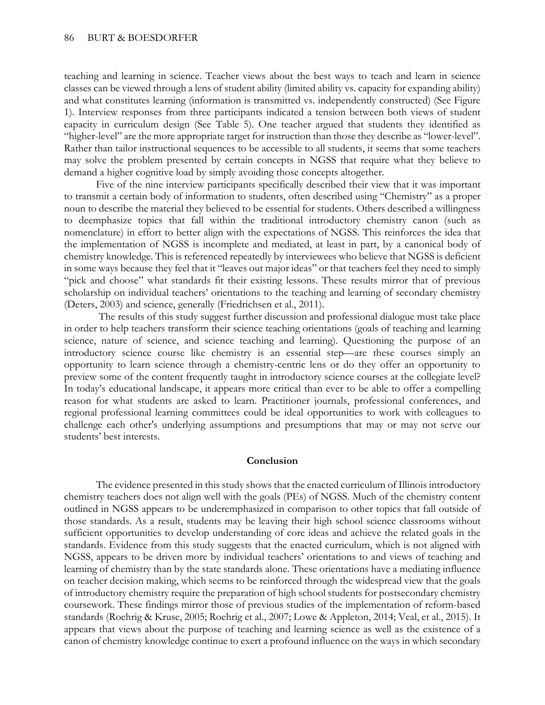teaching and learning in science. Teacher views about the best ways to teach and learn in science classes can be viewed through a lens of student ability (limited ability vs. capacity for expanding ability) and what constitutes learning (information is transmitted vs. independently constructed) (See Figure 1). Interview responses from three participants indicated a tension between both views of student capacity in curriculum design (See Table 5). One teacher argued that students they identified as "higher-level" are the more appropriate target for instruction than those they describe as "lower-level". Rather than tailor instructional sequences to be accessible to all students, it seems that some teachers may solve the problem presented by certain concepts in NGSS that require what they believe to demand a higher cognitive load by simply avoiding those concepts altogether.

Five of the nine interview participants specifically described their view that it was important to transmit a certain body of information to students, often described using "Chemistry" as a proper noun to describe the material they believed to be essential for students. Others described a willingness to deemphasize topics that fall within the traditional introductory chemistry canon (such as nomenclature) in effort to better align with the expectations of NGSS. This reinforces the idea that the implementation of NGSS is incomplete and mediated, at least in part, by a canonical body of chemistry knowledge. This is referenced repeatedly by interviewees who believe that NGSS is deficient in some ways because they feel that it "leaves out major ideas" or that teachers feel they need to simply "pick and choose" what standards fit their existing lessons. These results mirror that of previous scholarship on individual teachers' orientations to the teaching and learning of secondary chemistry (Deters, 2003) and science, generally (Friedrichsen et al., 2011).

The results of this study suggest further discussion and professional dialogue must take place in order to help teachers transform their science teaching orientations (goals of teaching and learning science, nature of science, and science teaching and learning). Questioning the purpose of an introductory science course like chemistry is an essential step—are these courses simply an opportunity to learn science through a chemistry-centric lens or do they offer an opportunity to preview some of the content frequently taught in introductory science courses at the collegiate level? In today's educational landscape, it appears more critical than ever to be able to offer a compelling reason for what students are asked to learn. Practitioner journals, professional conferences, and regional professional learning committees could be ideal opportunities to work with colleagues to challenge each other's underlying assumptions and presumptions that may or may not serve our students' best interests.

#### **Conclusion**

The evidence presented in this study shows that the enacted curriculum of Illinois introductory chemistry teachers does not align well with the goals (PEs) of NGSS. Much of the chemistry content outlined in NGSS appears to be underemphasized in comparison to other topics that fall outside of those standards. As a result, students may be leaving their high school science classrooms without sufficient opportunities to develop understanding of core ideas and achieve the related goals in the standards. Evidence from this study suggests that the enacted curriculum, which is not aligned with NGSS, appears to be driven more by individual teachers' orientations to and views of teaching and learning of chemistry than by the state standards alone. These orientations have a mediating influence on teacher decision making, which seems to be reinforced through the widespread view that the goals of introductory chemistry require the preparation of high school students for postsecondary chemistry coursework. These findings mirror those of previous studies of the implementation of reform-based standards (Roehrig & Kruse, 2005; Roehrig et al., 2007; Lowe & Appleton, 2014; Veal, et al., 2015). It appears that views about the purpose of teaching and learning science as well as the existence of a canon of chemistry knowledge continue to exert a profound influence on the ways in which secondary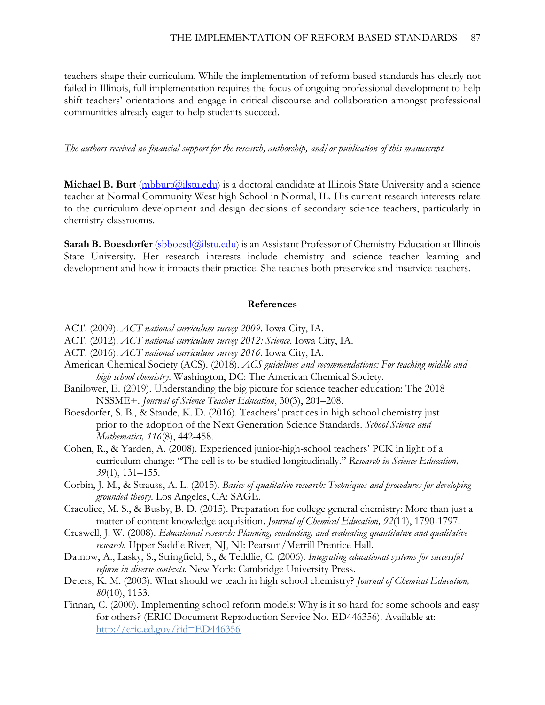teachers shape their curriculum. While the implementation of reform-based standards has clearly not failed in Illinois, full implementation requires the focus of ongoing professional development to help shift teachers' orientations and engage in critical discourse and collaboration amongst professional communities already eager to help students succeed.

*The authors received no financial support for the research, authorship, and/or publication of this manuscript.*

**Michael B. Burt** (mbburt *(a*) is a doctoral candidate at Illinois State University and a science teacher at Normal Community West high School in Normal, IL. His current research interests relate to the curriculum development and design decisions of secondary science teachers, particularly in chemistry classrooms.

**Sarah B. Boesdorfer** [\(sbboesd@ilstu.edu\)](mailto:sbboesd@ilstu.edu) is an Assistant Professor of Chemistry Education at Illinois State University. Her research interests include chemistry and science teacher learning and development and how it impacts their practice. She teaches both preservice and inservice teachers.

#### **References**

- ACT. (2009). *ACT national curriculum survey 2009*. Iowa City, IA.
- ACT. (2012). *ACT national curriculum survey 2012: Science*. Iowa City, IA.
- ACT. (2016). *ACT national curriculum survey 2016*. Iowa City, IA.
- American Chemical Society (ACS). (2018). *ACS guidelines and recommendations: For teaching middle and high school chemistry*. Washington, DC: The American Chemical Society.
- Banilower, E. (2019). Understanding the big picture for science teacher education: The 2018 NSSME+. *Journal of Science Teacher Education*, 30(3), 201–208.
- Boesdorfer, S. B., & Staude, K. D. (2016). Teachers' practices in high school chemistry just prior to the adoption of the Next Generation Science Standards. *School Science and Mathematics, 116*(8), 442-458.
- Cohen, R., & Yarden, A. (2008). Experienced junior-high-school teachers' PCK in light of a curriculum change: "The cell is to be studied longitudinally." *Research in Science Education, 39*(1), 131–155.
- Corbin, J. M., & Strauss, A. L. (2015). *Basics of qualitative research: Techniques and procedures for developing grounded theory*. Los Angeles, CA: SAGE.
- Cracolice, M. S., & Busby, B. D. (2015). Preparation for college general chemistry: More than just a matter of content knowledge acquisition. *Journal of Chemical Education, 92*(11), 1790-1797.
- Creswell, J. W. (2008). *Educational research: Planning, conducting, and evaluating quantitative and qualitative research*. Upper Saddle River, NJ, NJ: Pearson/Merrill Prentice Hall.
- Datnow, A., Lasky, S., Stringfield, S., & Teddlie, C. (2006). *Integrating educational systems for successful reform in diverse contexts.* New York: Cambridge University Press.
- Deters, K. M. (2003). What should we teach in high school chemistry? *Journal of Chemical Education, 80*(10), 1153.
- Finnan, C. (2000). Implementing school reform models: Why is it so hard for some schools and easy for others? (ERIC Document Reproduction Service No. ED446356). Available at: <http://eric.ed.gov/?id=ED446356>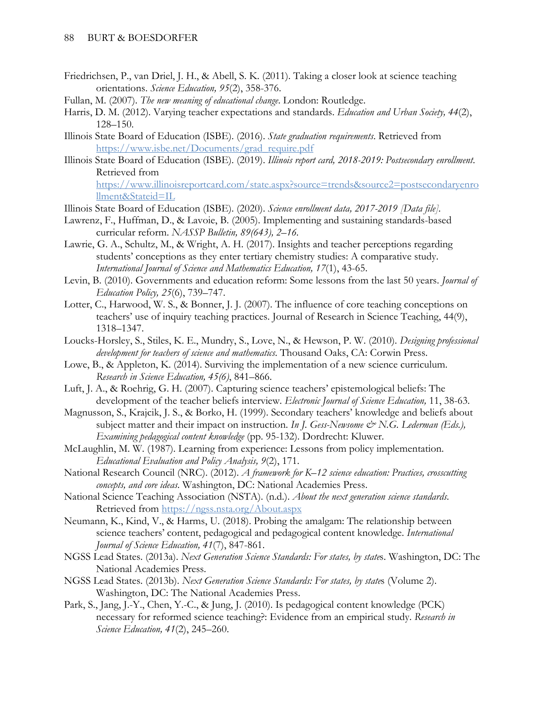- Friedrichsen, P., van Driel, J. H., & Abell, S. K. (2011). Taking a closer look at science teaching orientations. *Science Education, 95*(2), 358-376.
- Fullan, M. (2007). *The new meaning of educational change*. London: Routledge.
- Harris, D. M. (2012). Varying teacher expectations and standards. *Education and Urban Society, 44*(2), 128–150.
- Illinois State Board of Education (ISBE). (2016). *State graduation requirements*. Retrieved from [https://www.isbe.net/Documents/grad\\_require.pdf](https://www.isbe.net/Documents/grad_require.pdf)
- Illinois State Board of Education (ISBE). (2019). *Illinois report card, 2018-2019: Postsecondary enrollment*. Retrieved from [https://www.illinoisreportcard.com/state.aspx?source=trends&source2=postsecondaryenro](https://www.illinoisreportcard.com/state.aspx?source=trends&source2=postsecondaryenrollment&Stateid=IL) [llment&Stateid=IL](https://www.illinoisreportcard.com/state.aspx?source=trends&source2=postsecondaryenrollment&Stateid=IL)
- Illinois State Board of Education (ISBE). (2020). *Science enrollment data, 2017-2019 [Data file].*
- Lawrenz, F., Huffman, D., & Lavoie, B. (2005). Implementing and sustaining standards-based curricular reform. *NASSP Bulletin, 89(643), 2–16.*
- Lawrie, G. A., Schultz, M., & Wright, A. H. (2017). Insights and teacher perceptions regarding students' conceptions as they enter tertiary chemistry studies: A comparative study. *International Journal of Science and Mathematics Education, 17*(1), 43-65.
- Levin, B. (2010). Governments and education reform: Some lessons from the last 50 years. *Journal of Education Policy, 25*(6), 739–747.
- Lotter, C., Harwood, W. S., & Bonner, J. J. (2007). The influence of core teaching conceptions on teachers' use of inquiry teaching practices. Journal of Research in Science Teaching, 44(9), 1318–1347.
- Loucks-Horsley, S., Stiles, K. E., Mundry, S., Love, N., & Hewson, P. W. (2010). *Designing professional development for teachers of science and mathematics*. Thousand Oaks, CA: Corwin Press.
- Lowe, B., & Appleton, K. (2014). Surviving the implementation of a new science curriculum. *Research in Science Education, 45(6)*, 841–866.
- Luft, J. A., & Roehrig, G. H. (2007). Capturing science teachers' epistemological beliefs: The development of the teacher beliefs interview. *Electronic Journal of Science Education,* 11, 38-63.
- Magnusson, S., Krajcik, J. S., & Borko, H. (1999). Secondary teachers' knowledge and beliefs about subject matter and their impact on instruction. *In J. Gess-Newsome & N.G. Lederman (Eds.)*, *Examining pedagogical content knowledge* (pp. 95-132). Dordrecht: Kluwer.
- McLaughlin, M. W. (1987). Learning from experience: Lessons from policy implementation. *Educational Evaluation and Policy Analysis, 9*(2), 171.
- National Research Council (NRC). (2012). *A framework for K–12 science education: Practices, crosscutting concepts, and core ideas*. Washington, DC: National Academies Press.
- National Science Teaching Association (NSTA). (n.d.). *About the next generation science standards*. Retrieved from<https://ngss.nsta.org/About.aspx>
- Neumann, K., Kind, V., & Harms, U. (2018). Probing the amalgam: The relationship between science teachers' content, pedagogical and pedagogical content knowledge. *International Journal of Science Education, 41*(7), 847-861.
- NGSS Lead States. (2013a). *Next Generation Science Standards: For states, by state*s. Washington, DC: The National Academies Press.
- NGSS Lead States. (2013b). *Next Generation Science Standards: For states, by state*s (Volume 2). Washington, DC: The National Academies Press.
- Park, S., Jang, J.-Y., Chen, Y.-C., & Jung, J. (2010). Is pedagogical content knowledge (PCK) necessary for reformed science teaching?: Evidence from an empirical study. *Research in Science Education, 41*(2), 245–260.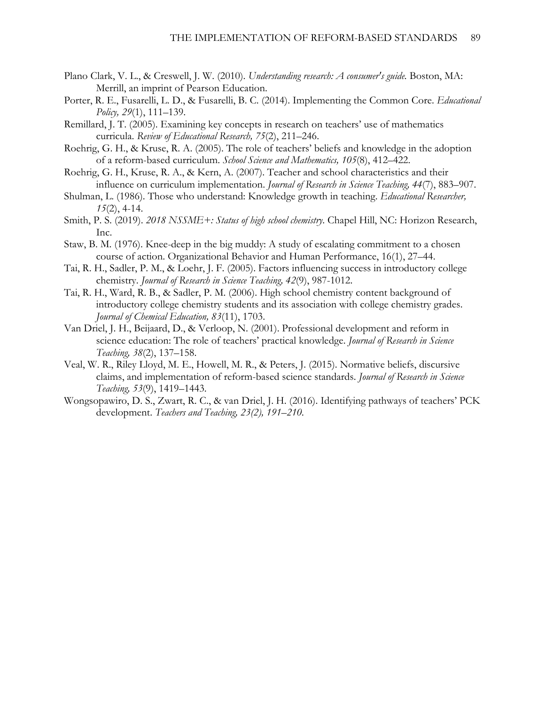- Plano Clark, V. L., & Creswell, J. W. (2010). *Understanding research: A consumer's guide.* Boston, MA: Merrill, an imprint of Pearson Education.
- Porter, R. E., Fusarelli, L. D., & Fusarelli, B. C. (2014). Implementing the Common Core. *Educational Policy, 29*(1), 111–139.
- Remillard, J. T. (2005). Examining key concepts in research on teachers' use of mathematics curricula. *Review of Educational Research, 75*(2), 211–246.
- Roehrig, G. H., & Kruse, R. A. (2005). The role of teachers' beliefs and knowledge in the adoption of a reform-based curriculum. *School Science and Mathematics, 105*(8), 412–422.
- Roehrig, G. H., Kruse, R. A., & Kern, A. (2007). Teacher and school characteristics and their influence on curriculum implementation. *Journal of Research in Science Teaching, 44*(7), 883–907.
- Shulman, L. (1986). Those who understand: Knowledge growth in teaching. *Educational Researcher, 15*(2), 4-14.
- Smith, P. S. (2019). *2018 NSSME+: Status of high school chemistry*. Chapel Hill, NC: Horizon Research, Inc.
- Staw, B. M. (1976). Knee-deep in the big muddy: A study of escalating commitment to a chosen course of action. Organizational Behavior and Human Performance, 16(1), 27–44.
- Tai, R. H., Sadler, P. M., & Loehr, J. F. (2005). Factors influencing success in introductory college chemistry. *Journal of Research in Science Teaching, 42*(9), 987-1012.
- Tai, R. H., Ward, R. B., & Sadler, P. M. (2006). High school chemistry content background of introductory college chemistry students and its association with college chemistry grades. *Journal of Chemical Education, 83*(11), 1703.
- Van Driel, J. H., Beijaard, D., & Verloop, N. (2001). Professional development and reform in science education: The role of teachers' practical knowledge. *Journal of Research in Science Teaching, 38*(2), 137–158.
- Veal, W. R., Riley Lloyd, M. E., Howell, M. R., & Peters, J. (2015). Normative beliefs, discursive claims, and implementation of reform-based science standards. *Journal of Research in Science Teaching, 53*(9), 1419–1443.
- Wongsopawiro, D. S., Zwart, R. C., & van Driel, J. H. (2016). Identifying pathways of teachers' PCK development. *Teachers and Teaching, 23(2), 191–210.*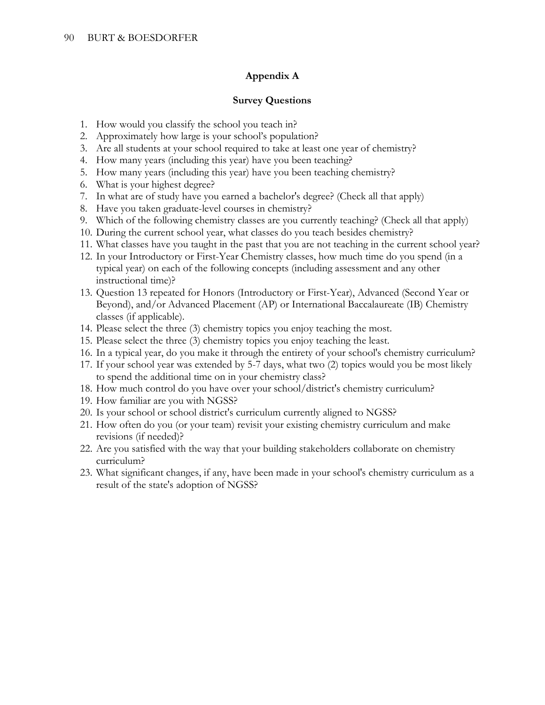### **Appendix A**

### **Survey Questions**

- 1. How would you classify the school you teach in?
- 2. Approximately how large is your school's population?
- 3. Are all students at your school required to take at least one year of chemistry?
- 4. How many years (including this year) have you been teaching?
- 5. How many years (including this year) have you been teaching chemistry?
- 6. What is your highest degree?
- 7. In what are of study have you earned a bachelor's degree? (Check all that apply)
- 8. Have you taken graduate-level courses in chemistry?
- 9. Which of the following chemistry classes are you currently teaching? (Check all that apply)
- 10. During the current school year, what classes do you teach besides chemistry?
- 11. What classes have you taught in the past that you are not teaching in the current school year?
- 12. In your Introductory or First-Year Chemistry classes, how much time do you spend (in a typical year) on each of the following concepts (including assessment and any other instructional time)?
- 13. Question 13 repeated for Honors (Introductory or First-Year), Advanced (Second Year or Beyond), and/or Advanced Placement (AP) or International Baccalaureate (IB) Chemistry classes (if applicable).
- 14. Please select the three (3) chemistry topics you enjoy teaching the most.
- 15. Please select the three (3) chemistry topics you enjoy teaching the least.
- 16. In a typical year, do you make it through the entirety of your school's chemistry curriculum?
- 17. If your school year was extended by 5-7 days, what two (2) topics would you be most likely to spend the additional time on in your chemistry class?
- 18. How much control do you have over your school/district's chemistry curriculum?
- 19. How familiar are you with NGSS?
- 20. Is your school or school district's curriculum currently aligned to NGSS?
- 21. How often do you (or your team) revisit your existing chemistry curriculum and make revisions (if needed)?
- 22. Are you satisfied with the way that your building stakeholders collaborate on chemistry curriculum?
- 23. What significant changes, if any, have been made in your school's chemistry curriculum as a result of the state's adoption of NGSS?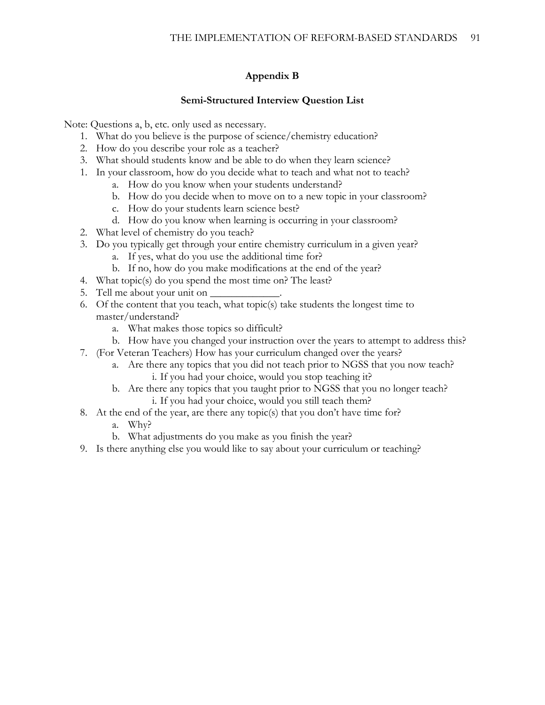# **Appendix B**

### **Semi-Structured Interview Question List**

Note: Questions a, b, etc. only used as necessary.

- 1. What do you believe is the purpose of science/chemistry education?
- 2. How do you describe your role as a teacher?
- 3. What should students know and be able to do when they learn science?
- 1. In your classroom, how do you decide what to teach and what not to teach?
	- a. How do you know when your students understand?
	- b. How do you decide when to move on to a new topic in your classroom?
	- c. How do your students learn science best?
	- d. How do you know when learning is occurring in your classroom?
- 2. What level of chemistry do you teach?
- 3. Do you typically get through your entire chemistry curriculum in a given year?
	- a. If yes, what do you use the additional time for?
	- b. If no, how do you make modifications at the end of the year?
- 4. What topic(s) do you spend the most time on? The least?
- 5. Tell me about your unit on  $\Box$
- 6. Of the content that you teach, what topic(s) take students the longest time to master/understand?
	- a. What makes those topics so difficult?
	- b. How have you changed your instruction over the years to attempt to address this?
- 7. (For Veteran Teachers) How has your curriculum changed over the years?
	- a. Are there any topics that you did not teach prior to NGSS that you now teach? i. If you had your choice, would you stop teaching it?
	- b. Are there any topics that you taught prior to NGSS that you no longer teach? i. If you had your choice, would you still teach them?
- 8. At the end of the year, are there any topic(s) that you don't have time for?
	- a. Why?
	- b. What adjustments do you make as you finish the year?
- 9. Is there anything else you would like to say about your curriculum or teaching?